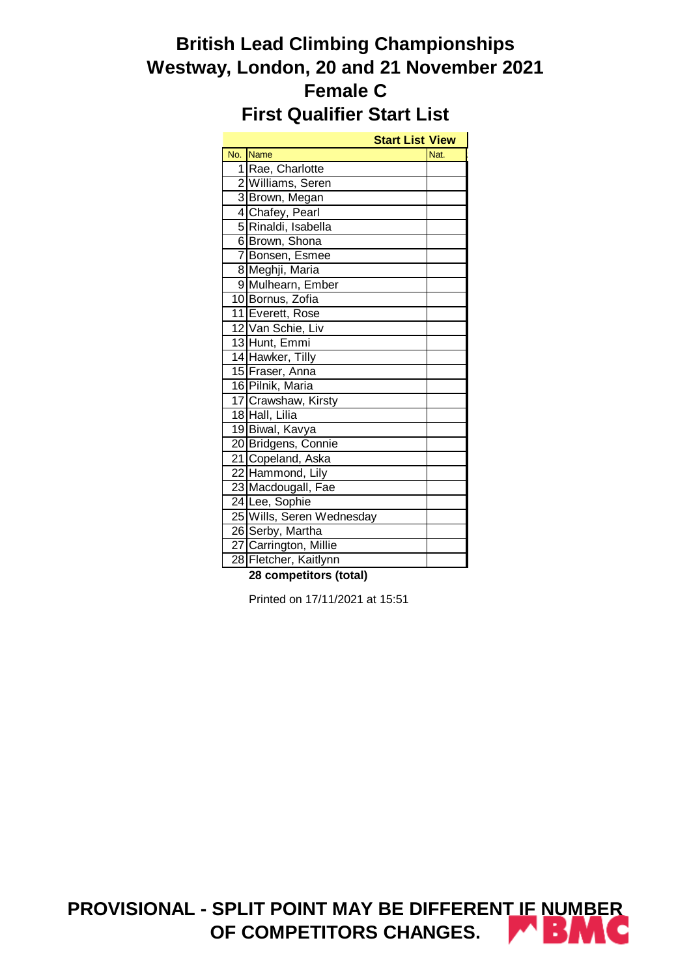# **British Lead Climbing Championships Westway, London, 20 and 21 November 2021 Female C First Qualifier Start List**

|     | <b>Start List View</b>    |      |
|-----|---------------------------|------|
| No. | <b>Name</b>               | Nat. |
|     | 1 Rae, Charlotte          |      |
|     | 2 Williams, Seren         |      |
|     | 3 Brown, Megan            |      |
|     | 4 Chafey, Pearl           |      |
|     | 5 Rinaldi, Isabella       |      |
|     | 6 Brown, Shona            |      |
|     | 7 Bonsen, Esmee           |      |
|     | 8 Meghji, Maria           |      |
|     | 9 Mulhearn, Ember         |      |
|     | 10 Bornus, Zofia          |      |
|     | 11 Everett, Rose          |      |
|     | 12 Van Schie, Liv         |      |
|     | 13 Hunt, Emmi             |      |
|     | 14 Hawker, Tilly          |      |
|     | 15 Fraser, Anna           |      |
|     | 16 Pilnik, Maria          |      |
|     | 17 Crawshaw, Kirsty       |      |
|     | 18 Hall, Lilia            |      |
|     | 19 Biwal, Kavya           |      |
|     | 20 Bridgens, Connie       |      |
|     | 21 Copeland, Aska         |      |
|     | 22 Hammond, Lily          |      |
|     | 23 Macdougall, Fae        |      |
|     | 24 Lee, Sophie            |      |
|     | 25 Wills, Seren Wednesday |      |
|     | 26 Serby, Martha          |      |
|     | 27 Carrington, Millie     |      |
|     | 28 Fletcher, Kaitlynn     |      |

**28 competitors (total)**

Printed on 17/11/2021 at 15:51

**PROVISIONAL - SPLIT POINT MAY BE DIFFERENT IF NUMBER**  RM N **OF COMPETITORS CHANGES.**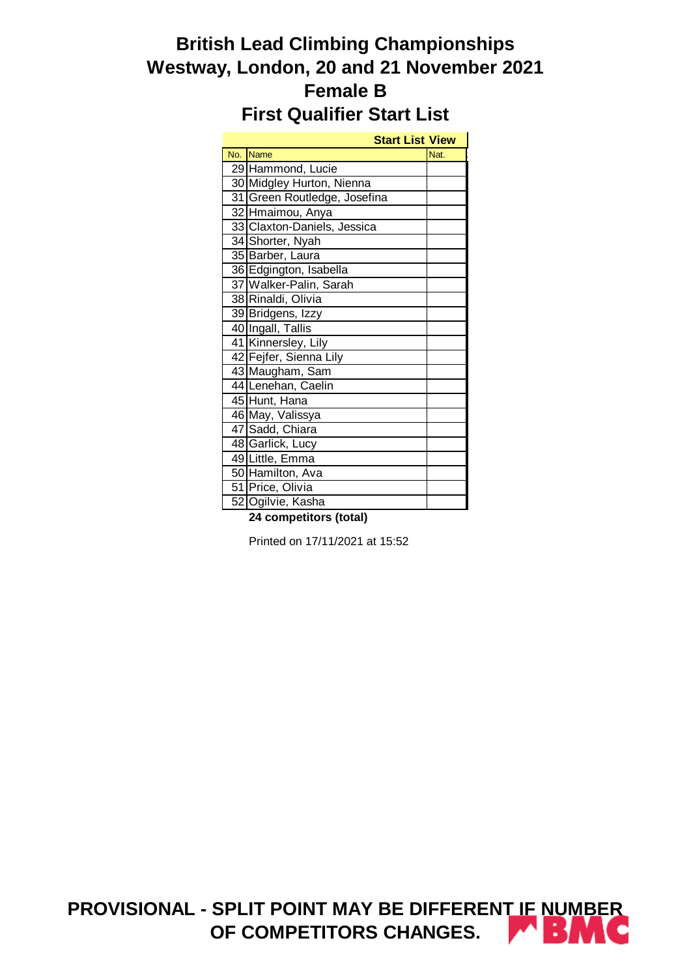# **British Lead Climbing Championships Westway, London, 20 and 21 November 2021 Female B First Qualifier Start List**

| <b>Start List View</b>       |      |
|------------------------------|------|
| No. Name                     | Nat. |
| 29 Hammond, Lucie            |      |
| 30 Midgley Hurton, Nienna    |      |
| 31 Green Routledge, Josefina |      |
| 32 Hmaimou, Anya             |      |
| 33 Claxton-Daniels, Jessica  |      |
| 34 Shorter, Nyah             |      |
| 35 Barber, Laura             |      |
| 36 Edgington, Isabella       |      |
| 37 Walker-Palin, Sarah       |      |
| 38 Rinaldi, Olivia           |      |
| 39 Bridgens, Izzy            |      |
| 40 Ingall, Tallis            |      |
| 41 Kinnersley, Lily          |      |
| 42 Fejfer, Sienna Lily       |      |
| 43 Maugham, Sam              |      |
| 44 Lenehan, Caelin           |      |
| 45 Hunt, Hana                |      |
| 46 May, Valissya             |      |
| 47 Sadd, Chiara              |      |
| 48 Garlick, Lucy             |      |
| 49 Little, Emma              |      |
| 50 Hamilton, Ava             |      |
| 51 Price, Olivia             |      |
| 52 Ogilvie, Kasha            |      |

**24 competitors (total)**

Printed on 17/11/2021 at 15:52

**PROVISIONAL - SPLIT POINT MAY BE DIFFERENT IF NUMBER OF COMPETITORS CHANGES.**المت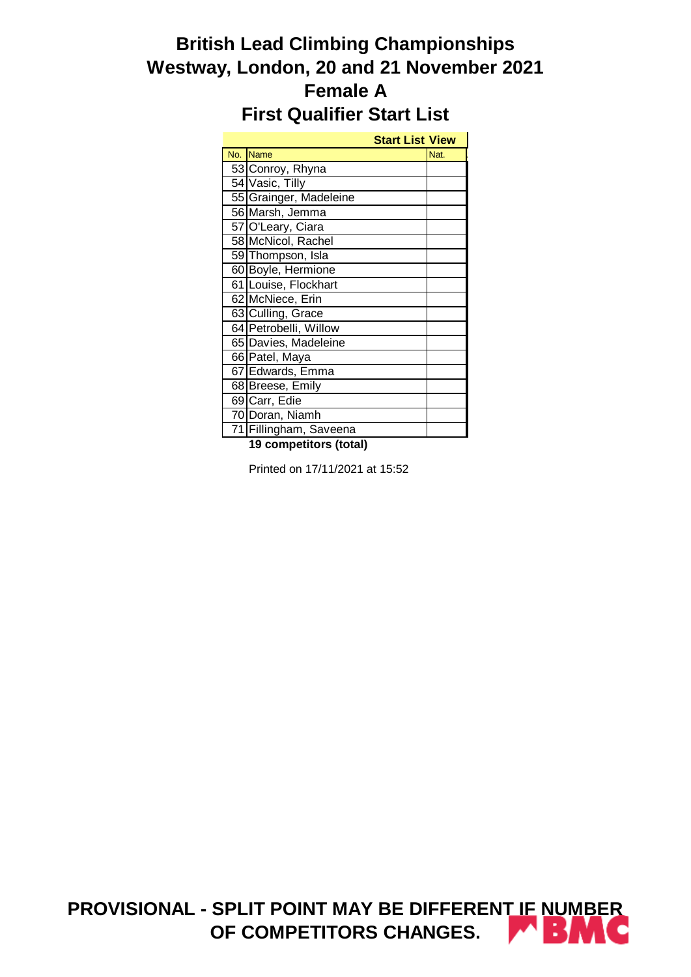# **British Lead Climbing Championships Westway, London, 20 and 21 November 2021 Female A First Qualifier Start List**

|                        | <b>Start List View</b> |      |
|------------------------|------------------------|------|
| No. Name               |                        | Nat. |
| 53 Conroy, Rhyna       |                        |      |
| 54 Vasic, Tilly        |                        |      |
| 55 Grainger, Madeleine |                        |      |
| 56 Marsh, Jemma        |                        |      |
| 57 O'Leary, Ciara      |                        |      |
| 58 McNicol, Rachel     |                        |      |
| 59 Thompson, Isla      |                        |      |
| 60 Boyle, Hermione     |                        |      |
| 61 Louise, Flockhart   |                        |      |
| 62 McNiece, Erin       |                        |      |
| 63 Culling, Grace      |                        |      |
| 64 Petrobelli, Willow  |                        |      |
| 65 Davies, Madeleine   |                        |      |
| 66 Patel, Maya         |                        |      |
| 67 Edwards, Emma       |                        |      |
| 68 Breese, Emily       |                        |      |
| 69 Carr, Edie          |                        |      |
| 70 Doran, Niamh        |                        |      |
| 71 Fillingham, Saveena |                        |      |

**19 competitors (total)**

Printed on 17/11/2021 at 15:52

**PROVISIONAL - SPLIT POINT MAY BE DIFFERENT IF NUMBER OF COMPETITORS CHANGES.**الغدا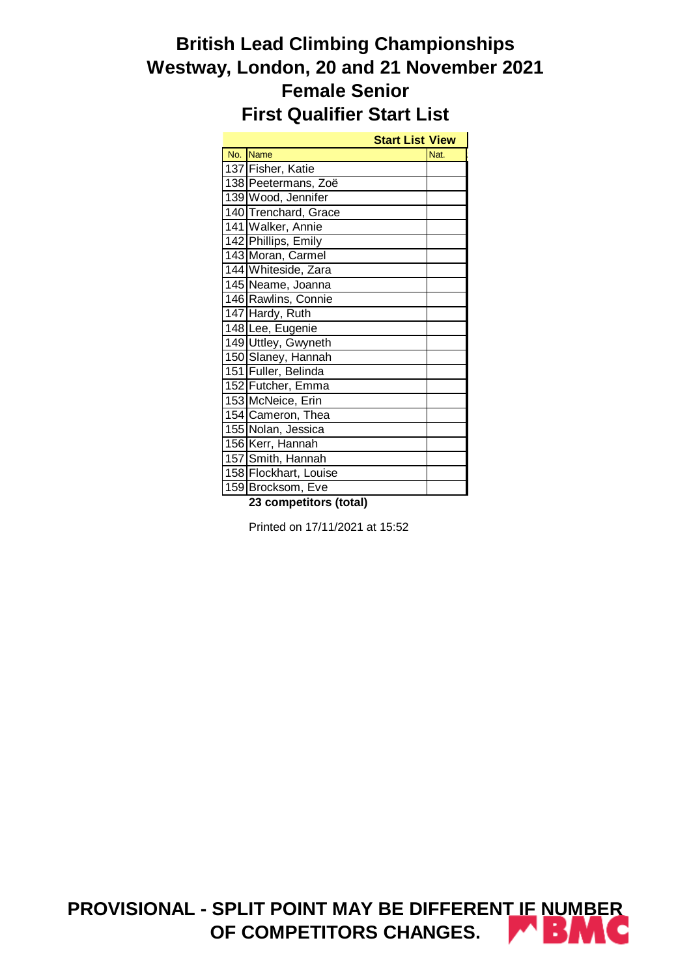# **British Lead Climbing Championships Westway, London, 20 and 21 November 2021 Female Senior First Qualifier Start List**

|     |                       | <b>Start List View</b> |      |
|-----|-----------------------|------------------------|------|
| No. | Name                  |                        | Nat. |
|     | 137 Fisher, Katie     |                        |      |
|     | 138 Peetermans, Zoë   |                        |      |
|     | 139 Wood, Jennifer    |                        |      |
|     | 140 Trenchard, Grace  |                        |      |
|     | 141 Walker, Annie     |                        |      |
|     | 142 Phillips, Emily   |                        |      |
|     | 143 Moran, Carmel     |                        |      |
|     | 144 Whiteside, Zara   |                        |      |
|     | 145 Neame, Joanna     |                        |      |
|     | 146 Rawlins, Connie   |                        |      |
|     | 147 Hardy, Ruth       |                        |      |
|     | 148 Lee, Eugenie      |                        |      |
|     | 149 Uttley, Gwyneth   |                        |      |
|     | 150 Slaney, Hannah    |                        |      |
|     | 151 Fuller, Belinda   |                        |      |
|     | 152 Futcher, Emma     |                        |      |
|     | 153 McNeice, Erin     |                        |      |
|     | 154 Cameron, Thea     |                        |      |
|     | 155 Nolan, Jessica    |                        |      |
|     | 156 Kerr, Hannah      |                        |      |
|     | 157 Smith, Hannah     |                        |      |
|     | 158 Flockhart, Louise |                        |      |
|     | 159 Brocksom, Eve     |                        |      |

**23 competitors (total)**

Printed on 17/11/2021 at 15:52

**PROVISIONAL - SPLIT POINT MAY BE DIFFERENT IF NUMBER OF COMPETITORS CHANGES.**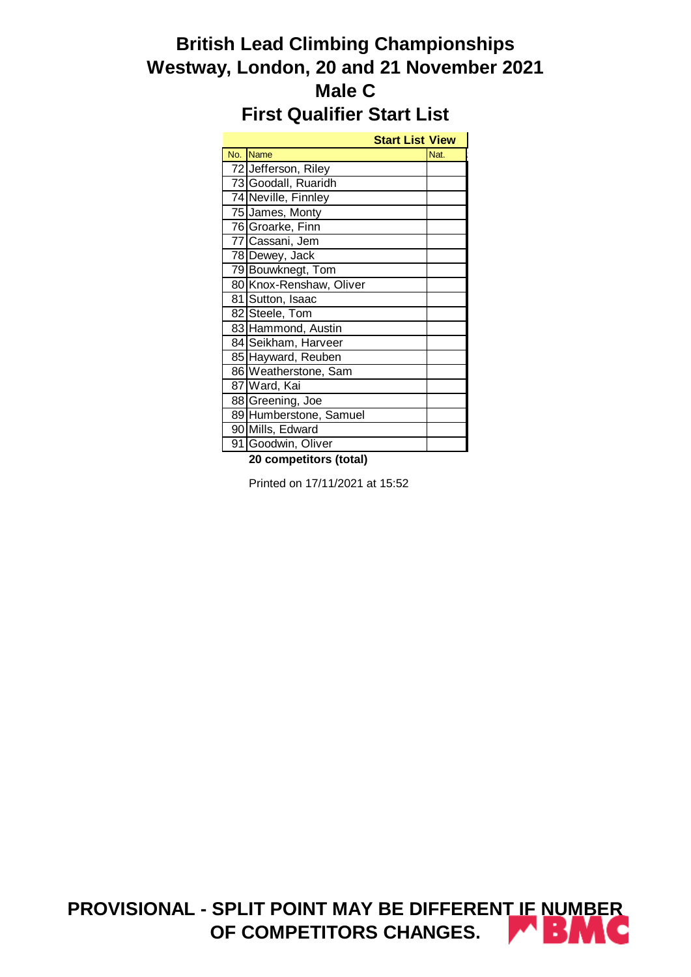# **British Lead Climbing Championships Westway, London, 20 and 21 November 2021 Male C First Qualifier Start List**

|     |                         | <b>Start List View</b> |      |
|-----|-------------------------|------------------------|------|
| No. | <b>Name</b>             |                        | Nat. |
|     | 72 Jefferson, Riley     |                        |      |
|     | 73 Goodall, Ruaridh     |                        |      |
|     | 74 Neville, Finnley     |                        |      |
|     | 75 James, Monty         |                        |      |
|     | 76 Groarke, Finn        |                        |      |
|     | 77 Cassani, Jem         |                        |      |
|     | 78 Dewey, Jack          |                        |      |
|     | 79 Bouwknegt, Tom       |                        |      |
|     | 80 Knox-Renshaw, Oliver |                        |      |
|     | 81 Sutton, Isaac        |                        |      |
|     | 82 Steele, Tom          |                        |      |
|     | 83 Hammond, Austin      |                        |      |
|     | 84 Seikham, Harveer     |                        |      |
|     | 85 Hayward, Reuben      |                        |      |
|     | 86 Weatherstone, Sam    |                        |      |
|     | 87 Ward, Kai            |                        |      |
|     | 88 Greening, Joe        |                        |      |
|     | 89 Humberstone, Samuel  |                        |      |
|     | 90 Mills, Edward        |                        |      |
|     | 91 Goodwin, Oliver      |                        |      |

**20 competitors (total)**

Printed on 17/11/2021 at 15:52

**PROVISIONAL - SPLIT POINT MAY BE DIFFERENT IF NUMBER OF COMPETITORS CHANGES.**المر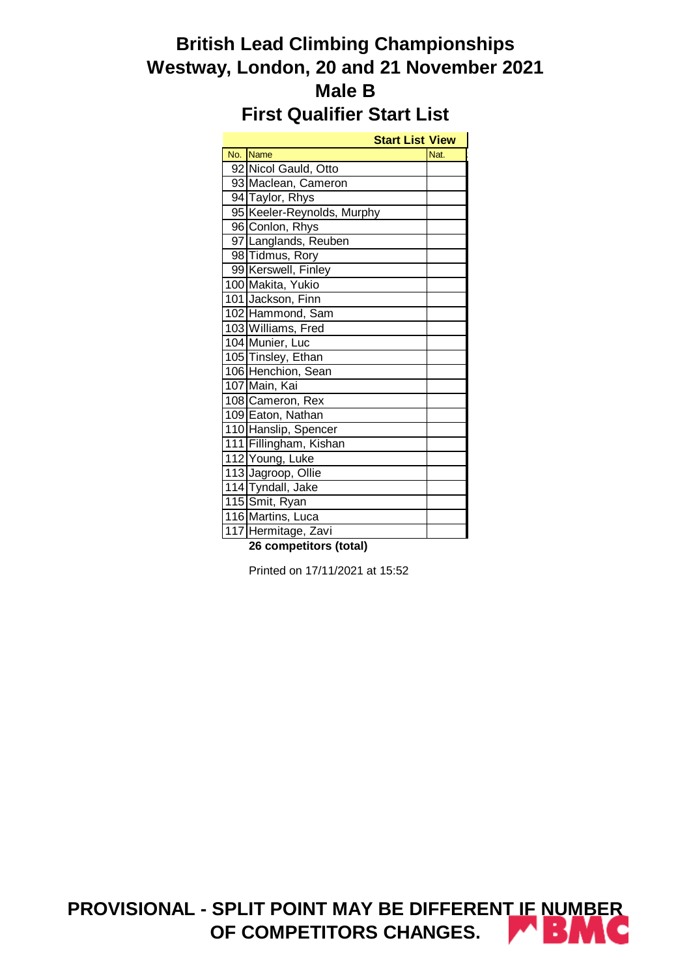# **British Lead Climbing Championships Westway, London, 20 and 21 November 2021 Male B First Qualifier Start List**

|     | <b>Start List View</b>     |      |
|-----|----------------------------|------|
| No. | <b>Name</b>                | Nat. |
|     | 92 Nicol Gauld, Otto       |      |
|     | 93 Maclean, Cameron        |      |
|     | 94 Taylor, Rhys            |      |
|     | 95 Keeler-Reynolds, Murphy |      |
|     | 96 Conlon, Rhys            |      |
|     | 97 Langlands, Reuben       |      |
|     | 98 Tidmus, Rory            |      |
|     | 99 Kerswell, Finley        |      |
|     | 100 Makita, Yukio          |      |
|     | 101 Jackson, Finn          |      |
|     | 102 Hammond, Sam           |      |
|     | 103 Williams, Fred         |      |
|     | 104 Munier, Luc            |      |
|     | 105 Tinsley, Ethan         |      |
|     | 106 Henchion, Sean         |      |
|     | 107 Main, Kai              |      |
|     | 108 Cameron, Rex           |      |
|     | 109 Eaton, Nathan          |      |
|     | 110 Hanslip, Spencer       |      |
|     | 111 Fillingham, Kishan     |      |
|     | 112 Young, Luke            |      |
|     | 113 Jagroop, Ollie         |      |
|     | 114 Tyndall, Jake          |      |
|     | 115 Smit, Ryan             |      |
|     | 116 Martins, Luca          |      |
|     | 117 Hermitage, Zavi        |      |

**26 competitors (total)**

Printed on 17/11/2021 at 15:52

**PROVISIONAL - SPLIT POINT MAY BE DIFFERENT IF NUMBER**  37.VO **OF COMPETITORS CHANGES.**الفت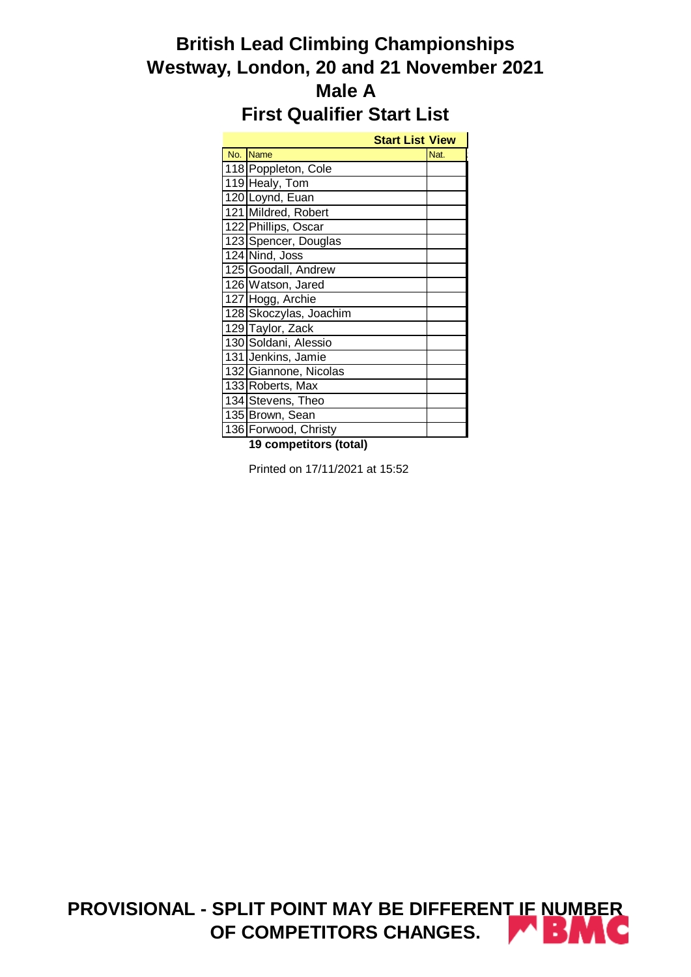# **British Lead Climbing Championships Westway, London, 20 and 21 November 2021 Male A First Qualifier Start List**

|                        | <b>Start List View</b> |      |
|------------------------|------------------------|------|
| No. Name               |                        | Nat. |
| 118 Poppleton, Cole    |                        |      |
| 119 Healy, Tom         |                        |      |
| 120 Loynd, Euan        |                        |      |
| 121 Mildred, Robert    |                        |      |
| 122 Phillips, Oscar    |                        |      |
| 123 Spencer, Douglas   |                        |      |
| 124 Nind, Joss         |                        |      |
| 125 Goodall, Andrew    |                        |      |
| 126 Watson, Jared      |                        |      |
| 127 Hogg, Archie       |                        |      |
| 128 Skoczylas, Joachim |                        |      |
| 129 Taylor, Zack       |                        |      |
| 130 Soldani, Alessio   |                        |      |
| 131 Jenkins, Jamie     |                        |      |
| 132 Giannone, Nicolas  |                        |      |
| 133 Roberts, Max       |                        |      |
| 134 Stevens, Theo      |                        |      |
| 135 Brown, Sean        |                        |      |
| 136 Forwood, Christy   |                        |      |

**19 competitors (total)**

Printed on 17/11/2021 at 15:52

**PROVISIONAL - SPLIT POINT MAY BE DIFFERENT IF NUMBER**  27 M **OF COMPETITORS CHANGES.**الغدا